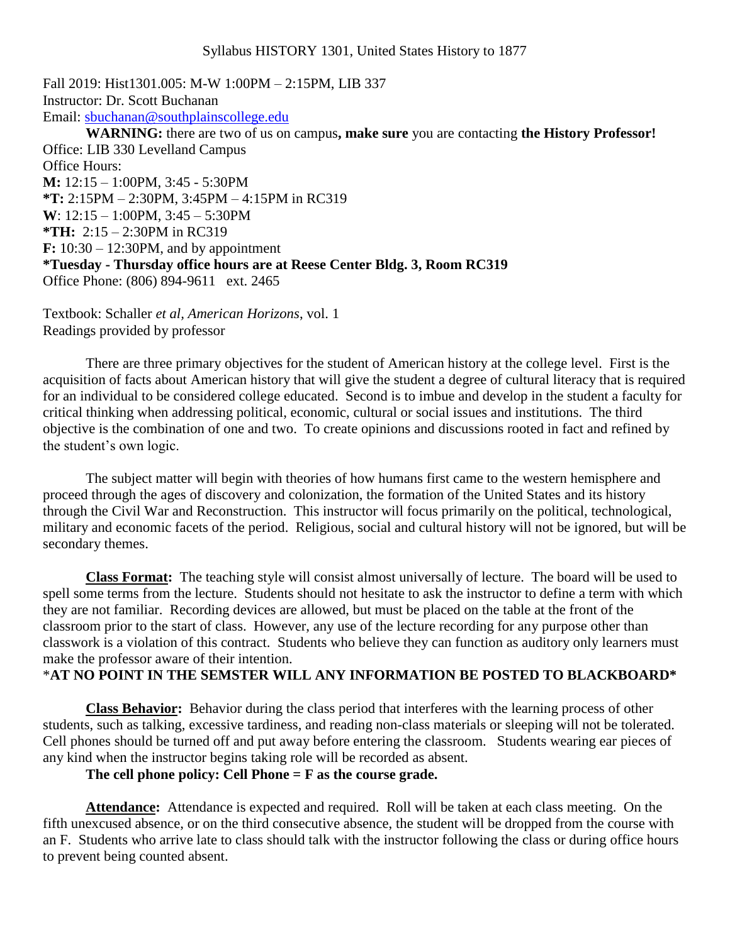Fall 2019: Hist1301.005: M-W 1:00PM – 2:15PM, LIB 337 Instructor: Dr. Scott Buchanan Email: [sbuchanan@southplainscollege.edu](mailto:sbuchanan@southplainscollege.edu) **WARNING:** there are two of us on campus**, make sure** you are contacting **the History Professor!** Office: LIB 330 Levelland Campus Office Hours: **M:** 12:15 – 1:00PM, 3:45 - 5:30PM **\*T:** 2:15PM – 2:30PM, 3:45PM – 4:15PM in RC319 **W**: 12:15 – 1:00PM, 3:45 – 5:30PM **\*TH:** 2:15 – 2:30PM in RC319 **F:** 10:30 – 12:30PM, and by appointment **\*Tuesday - Thursday office hours are at Reese Center Bldg. 3, Room RC319** Office Phone: (806) 894-9611 ext. 2465

Textbook: Schaller *et al, American Horizons*, vol. 1 Readings provided by professor

There are three primary objectives for the student of American history at the college level. First is the acquisition of facts about American history that will give the student a degree of cultural literacy that is required for an individual to be considered college educated. Second is to imbue and develop in the student a faculty for critical thinking when addressing political, economic, cultural or social issues and institutions. The third objective is the combination of one and two. To create opinions and discussions rooted in fact and refined by the student's own logic.

The subject matter will begin with theories of how humans first came to the western hemisphere and proceed through the ages of discovery and colonization, the formation of the United States and its history through the Civil War and Reconstruction. This instructor will focus primarily on the political, technological, military and economic facets of the period. Religious, social and cultural history will not be ignored, but will be secondary themes.

**Class Format:** The teaching style will consist almost universally of lecture. The board will be used to spell some terms from the lecture. Students should not hesitate to ask the instructor to define a term with which they are not familiar. Recording devices are allowed, but must be placed on the table at the front of the classroom prior to the start of class. However, any use of the lecture recording for any purpose other than classwork is a violation of this contract. Students who believe they can function as auditory only learners must make the professor aware of their intention.

#### \***AT NO POINT IN THE SEMSTER WILL ANY INFORMATION BE POSTED TO BLACKBOARD\***

**Class Behavior:** Behavior during the class period that interferes with the learning process of other students, such as talking, excessive tardiness, and reading non-class materials or sleeping will not be tolerated. Cell phones should be turned off and put away before entering the classroom. Students wearing ear pieces of any kind when the instructor begins taking role will be recorded as absent.

#### **The cell phone policy: Cell Phone = F as the course grade.**

**Attendance:** Attendance is expected and required. Roll will be taken at each class meeting. On the fifth unexcused absence, or on the third consecutive absence, the student will be dropped from the course with an F. Students who arrive late to class should talk with the instructor following the class or during office hours to prevent being counted absent.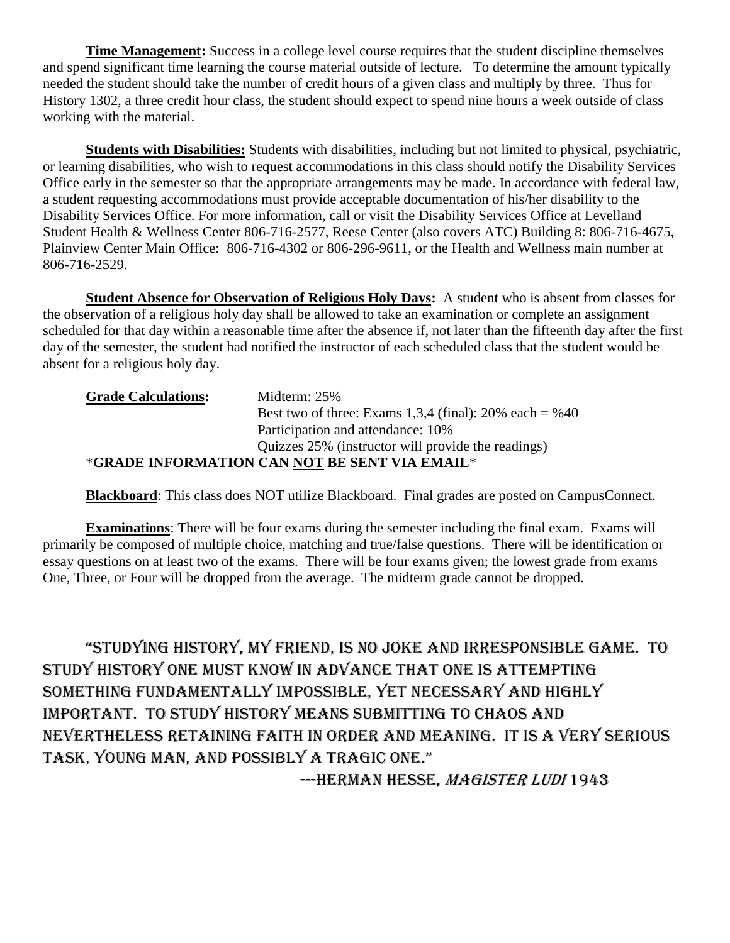**Time Management:** Success in a college level course requires that the student discipline themselves and spend significant time learning the course material outside of lecture. To determine the amount typically needed the student should take the number of credit hours of a given class and multiply by three. Thus for History 1302, a three credit hour class, the student should expect to spend nine hours a week outside of class working with the material.

**Students with Disabilities:** Students with disabilities, including but not limited to physical, psychiatric, or learning disabilities, who wish to request accommodations in this class should notify the Disability Services Office early in the semester so that the appropriate arrangements may be made. In accordance with federal law, a student requesting accommodations must provide acceptable documentation of his/her disability to the Disability Services Office. For more information, call or visit the Disability Services Office at Levelland Student Health & Wellness Center 806-716-2577, Reese Center (also covers ATC) Building 8: 806-716-4675, Plainview Center Main Office: 806-716-4302 or 806-296-9611, or the Health and Wellness main number at 806-716-2529.

**Student Absence for Observation of Religious Holy Days:** A student who is absent from classes for the observation of a religious holy day shall be allowed to take an examination or complete an assignment scheduled for that day within a reasonable time after the absence if, not later than the fifteenth day after the first day of the semester, the student had notified the instructor of each scheduled class that the student would be absent for a religious holy day.

| <b>Grade Calculations:</b> | Midterm: 25%                                           |
|----------------------------|--------------------------------------------------------|
|                            | Best two of three: Exams 1,3,4 (final): 20% each = %40 |
|                            | Participation and attendance: 10%                      |
|                            | Quizzes 25% (instructor will provide the readings)     |
|                            | *GRADE INFORMATION CAN NOT BE SENT VIA EMAIL*          |

**Blackboard**: This class does NOT utilize Blackboard. Final grades are posted on CampusConnect.

**Examinations**: There will be four exams during the semester including the final exam. Exams will primarily be composed of multiple choice, matching and true/false questions. There will be identification or essay questions on at least two of the exams. There will be four exams given; the lowest grade from exams One, Three, or Four will be dropped from the average. The midterm grade cannot be dropped.

"Studying hiStory, my friend, iS no joke and irreSponSible game. to study history one must know in advance that one is attempting something fundamentally impossible, yet necessary and highly important. To study history means submitting to chaos and nevertheless retaining faith in order and meaning. It is a very serious taSk, young man, and poSSibly a tragic one."

---HERMAN HESSE, MAGISTER LUDI 1943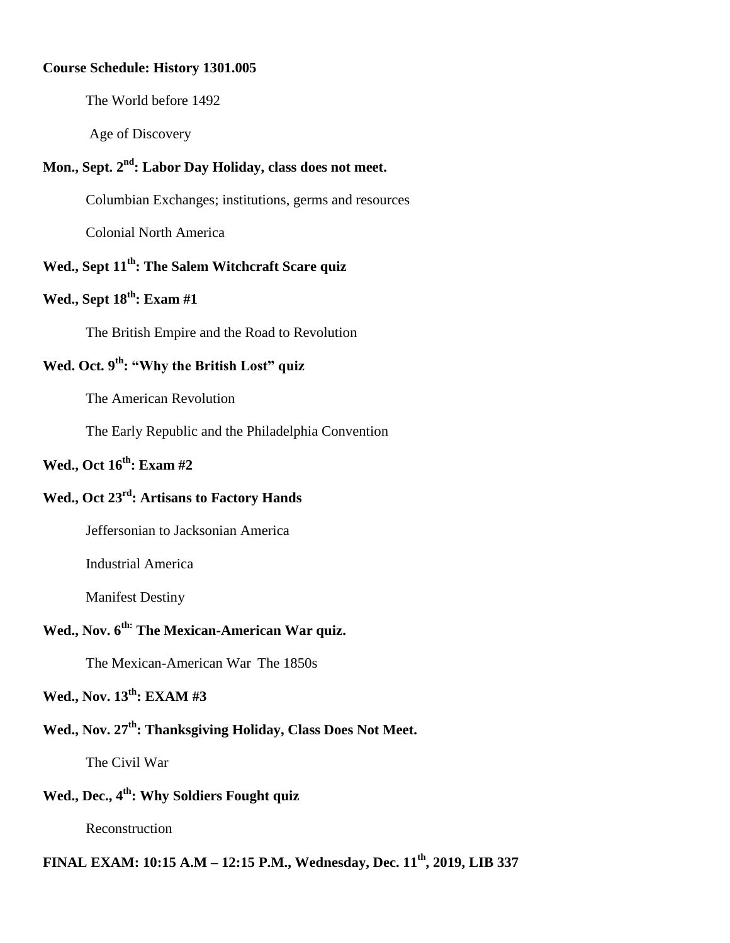#### **Course Schedule: History 1301.005**

The World before 1492

Age of Discovery

#### **Mon., Sept. 2 nd: Labor Day Holiday, class does not meet.**

Columbian Exchanges; institutions, germs and resources

Colonial North America

## **Wed., Sept 11 th: The Salem Witchcraft Scare quiz**

## **Wed., Sept 18 th: Exam #1**

The British Empire and the Road to Revolution

## **Wed. Oct. 9 th: "Why the British Lost" quiz**

The American Revolution

The Early Republic and the Philadelphia Convention

#### **Wed., Oct 16 th: Exam #2**

#### **Wed., Oct 23 rd: Artisans to Factory Hands**

Jeffersonian to Jacksonian America

Industrial America

Manifest Destiny

#### **Wed., Nov. 6 th: The Mexican-American War quiz.**

The Mexican-American War The 1850s

#### **Wed., Nov. 13 th: EXAM #3**

#### **Wed., Nov. 27 th: Thanksgiving Holiday, Class Does Not Meet.**

The Civil War

# **Wed., Dec., 4th: Why Soldiers Fought quiz**

Reconstruction

# **FINAL EXAM: 10:15 A.M – 12:15 P.M., Wednesday, Dec. 11 th, 2019, LIB 337**